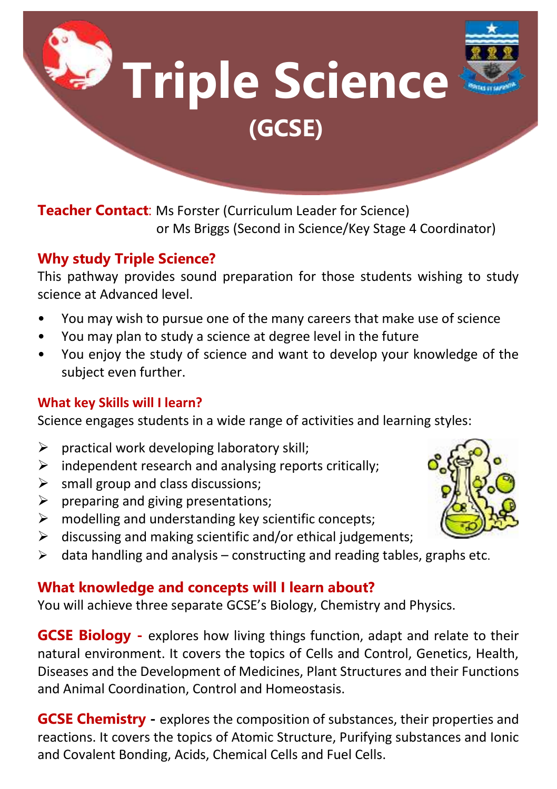**Triple Science (GCSE)**

**Teacher Contact**: Ms Forster (Curriculum Leader for Science) or Ms Briggs (Second in Science/Key Stage 4 Coordinator)

# **Why study Triple Science?**

This pathway provides sound preparation for those students wishing to study science at Advanced level.

- You may wish to pursue one of the many careers that make use of science
- You may plan to study a science at degree level in the future
- You enjoy the study of science and want to develop your knowledge of the subject even further.

### **What key Skills will I learn?**

Science engages students in a wide range of activities and learning styles:

- $\triangleright$  practical work developing laboratory skill;
- $\triangleright$  independent research and analysing reports critically;
- $\triangleright$  small group and class discussions:
- $\triangleright$  preparing and giving presentations;
- $\triangleright$  modelling and understanding key scientific concepts;
- $\triangleright$  discussing and making scientific and/or ethical judgements;
- $\triangleright$  data handling and analysis constructing and reading tables, graphs etc.

## **What knowledge and concepts will I learn about?**

You will achieve three separate GCSE's Biology, Chemistry and Physics.

**GCSE Biology -** explores how living things function, adapt and relate to their natural environment. It covers the topics of Cells and Control, Genetics, Health, Diseases and the Development of Medicines, Plant Structures and their Functions and Animal Coordination, Control and Homeostasis.

**GCSE Chemistry -** explores the composition of substances, their properties and reactions. It covers the topics of Atomic Structure, Purifying substances and Ionic and Covalent Bonding, Acids, Chemical Cells and Fuel Cells.